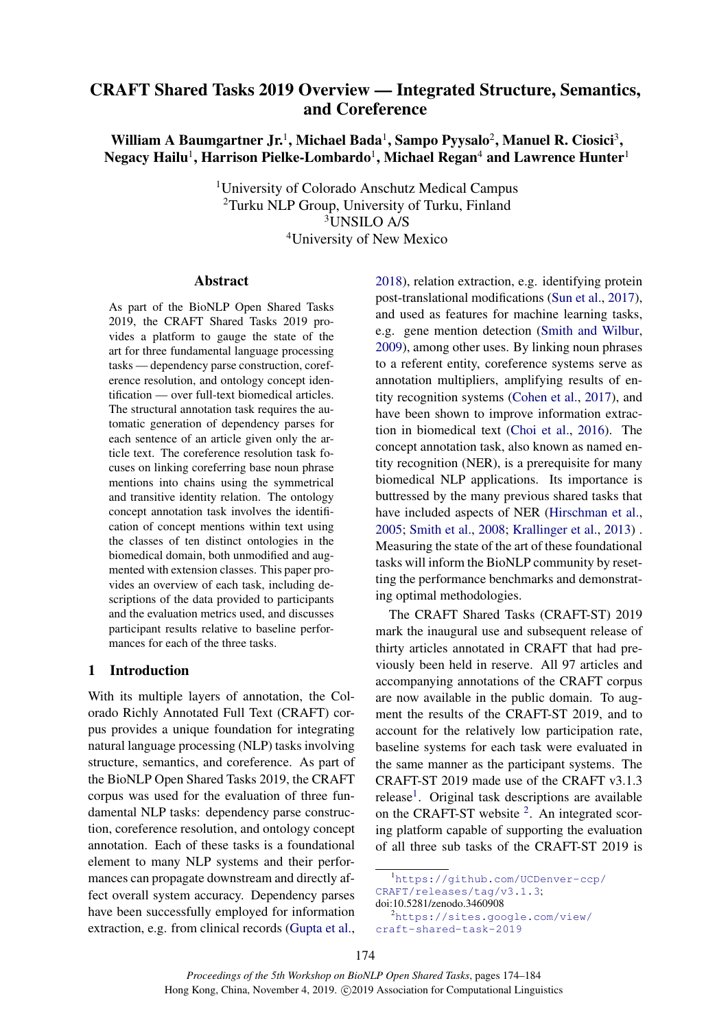# CRAFT Shared Tasks 2019 Overview — Integrated Structure, Semantics, and Coreference

## William A Baumgartner Jr.<sup>1</sup>, Michael Bada<sup>1</sup>, Sampo Pyysalo<sup>2</sup>, Manuel R. Ciosici<sup>3</sup>, Negacy Hailu $^{\rm l}$ , Harrison Pielke-Lombardo $^{\rm l}$ , Michael Regan $^{\rm 4}$  and Lawrence Hunter $^{\rm l}$

University of Colorado Anschutz Medical Campus Turku NLP Group, University of Turku, Finland UNSILO A/S University of New Mexico

#### Abstract

As part of the BioNLP Open Shared Tasks 2019, the CRAFT Shared Tasks 2019 provides a platform to gauge the state of the art for three fundamental language processing tasks — dependency parse construction, coreference resolution, and ontology concept identification — over full-text biomedical articles. The structural annotation task requires the automatic generation of dependency parses for each sentence of an article given only the article text. The coreference resolution task focuses on linking coreferring base noun phrase mentions into chains using the symmetrical and transitive identity relation. The ontology concept annotation task involves the identification of concept mentions within text using the classes of ten distinct ontologies in the biomedical domain, both unmodified and augmented with extension classes. This paper provides an overview of each task, including descriptions of the data provided to participants and the evaluation metrics used, and discusses participant results relative to baseline performances for each of the three tasks.

#### 1 Introduction

With its multiple layers of annotation, the Colorado Richly Annotated Full Text (CRAFT) corpus provides a unique foundation for integrating natural language processing (NLP) tasks involving structure, semantics, and coreference. As part of the BioNLP Open Shared Tasks 2019, the CRAFT corpus was used for the evaluation of three fundamental NLP tasks: dependency parse construction, coreference resolution, and ontology concept annotation. Each of these tasks is a foundational element to many NLP systems and their performances can propagate downstream and directly affect overall system accuracy. Dependency parses have been successfully employed for information extraction, e.g. from clinical records [\(Gupta et al.,](#page-10-0)

[2018\)](#page-10-0), relation extraction, e.g. identifying protein post-translational modifications [\(Sun et al.,](#page-10-1) [2017\)](#page-10-1), and used as features for machine learning tasks, e.g. gene mention detection [\(Smith and Wilbur,](#page-10-2) [2009\)](#page-10-2), among other uses. By linking noun phrases to a referent entity, coreference systems serve as annotation multipliers, amplifying results of entity recognition systems [\(Cohen et al.,](#page-9-0) [2017\)](#page-9-0), and have been shown to improve information extraction in biomedical text [\(Choi et al.,](#page-9-1) [2016\)](#page-9-1). The concept annotation task, also known as named entity recognition (NER), is a prerequisite for many biomedical NLP applications. Its importance is buttressed by the many previous shared tasks that have included aspects of NER [\(Hirschman et al.,](#page-10-3) [2005;](#page-10-3) [Smith et al.,](#page-10-4) [2008;](#page-10-4) [Krallinger et al.,](#page-10-5) [2013\)](#page-10-5) . Measuring the state of the art of these foundational tasks will inform the BioNLP community by resetting the performance benchmarks and demonstrating optimal methodologies.

The CRAFT Shared Tasks (CRAFT-ST) 2019 mark the inaugural use and subsequent release of thirty articles annotated in CRAFT that had previously been held in reserve. All 97 articles and accompanying annotations of the CRAFT corpus are now available in the public domain. To augment the results of the CRAFT-ST 2019, and to account for the relatively low participation rate, baseline systems for each task were evaluated in the same manner as the participant systems. The CRAFT-ST 2019 made use of the CRAFT v3.1.3 release<sup>[1](#page-0-0)</sup>. Original task descriptions are available on the CRAFT-ST website  $2$ . An integrated scoring platform capable of supporting the evaluation of all three sub tasks of the CRAFT-ST 2019 is

<span id="page-0-0"></span><sup>1</sup>[https://github.com/UCDenver-ccp/](https://github.com/UCDenver-ccp/CRAFT/releases/tag/v3.1.3) [CRAFT/releases/tag/v3.1.3](https://github.com/UCDenver-ccp/CRAFT/releases/tag/v3.1.3);

doi:10.5281/zenodo.3460908

<span id="page-0-1"></span><sup>2</sup>[https://sites.google.com/view/](https://sites.google.com/view/craft-shared-task-2019) [craft-shared-task-2019](https://sites.google.com/view/craft-shared-task-2019)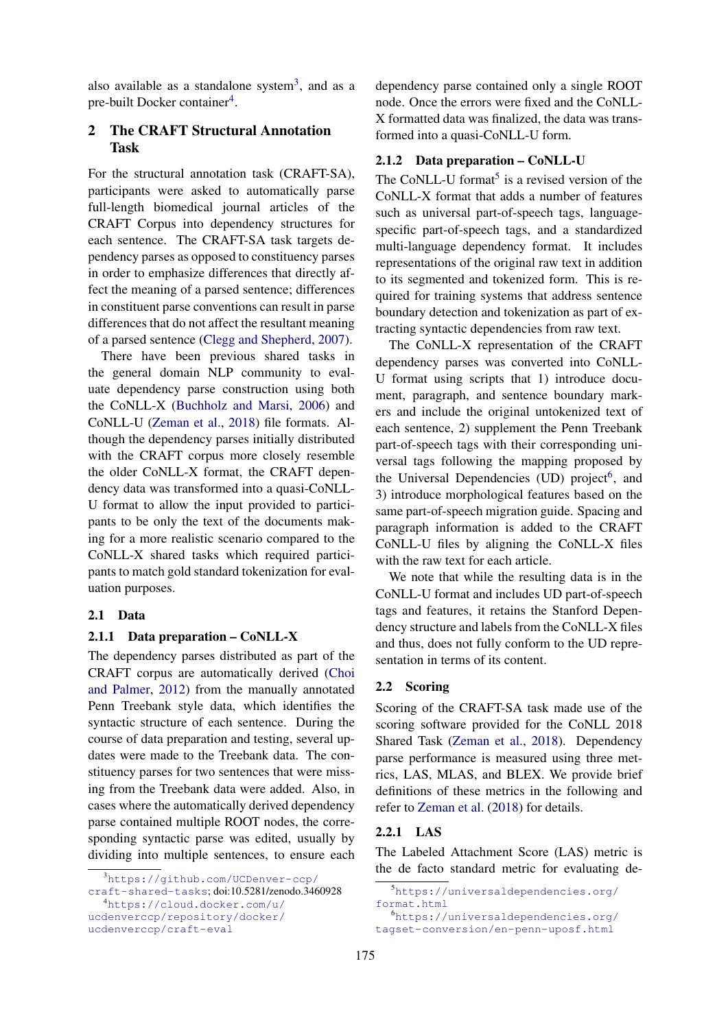also available as a standalone system<sup>[3](#page-1-0)</sup>, and as a pre-built Docker container<sup>[4](#page-1-1)</sup>.

## 2 The CRAFT Structural Annotation Task

For the structural annotation task (CRAFT-SA), participants were asked to automatically parse full-length biomedical journal articles of the CRAFT Corpus into dependency structures for each sentence. The CRAFT-SA task targets dependency parses as opposed to constituency parses in order to emphasize differences that directly affect the meaning of a parsed sentence; differences in constituent parse conventions can result in parse differences that do not affect the resultant meaning of a parsed sentence [\(Clegg and Shepherd,](#page-9-2) [2007\)](#page-9-2).

There have been previous shared tasks in the general domain NLP community to evaluate dependency parse construction using both the CoNLL-X [\(Buchholz and Marsi,](#page-9-3) [2006\)](#page-9-3) and CoNLL-U [\(Zeman et al.,](#page-10-6) [2018\)](#page-10-6) file formats. Although the dependency parses initially distributed with the CRAFT corpus more closely resemble the older CoNLL-X format, the CRAFT dependency data was transformed into a quasi-CoNLL-U format to allow the input provided to participants to be only the text of the documents making for a more realistic scenario compared to the CoNLL-X shared tasks which required participants to match gold standard tokenization for evaluation purposes.

### 2.1 Data

#### 2.1.1 Data preparation – CoNLL-X

The dependency parses distributed as part of the CRAFT corpus are automatically derived [\(Choi](#page-9-4) [and Palmer,](#page-9-4) [2012\)](#page-9-4) from the manually annotated Penn Treebank style data, which identifies the syntactic structure of each sentence. During the course of data preparation and testing, several updates were made to the Treebank data. The constituency parses for two sentences that were missing from the Treebank data were added. Also, in cases where the automatically derived dependency parse contained multiple ROOT nodes, the corresponding syntactic parse was edited, usually by dividing into multiple sentences, to ensure each dependency parse contained only a single ROOT node. Once the errors were fixed and the CoNLL-X formatted data was finalized, the data was transformed into a quasi-CoNLL-U form.

#### 2.1.2 Data preparation – CoNLL-U

The CoNLL-U format<sup>[5](#page-1-2)</sup> is a revised version of the CoNLL-X format that adds a number of features such as universal part-of-speech tags, languagespecific part-of-speech tags, and a standardized multi-language dependency format. It includes representations of the original raw text in addition to its segmented and tokenized form. This is required for training systems that address sentence boundary detection and tokenization as part of extracting syntactic dependencies from raw text.

The CoNLL-X representation of the CRAFT dependency parses was converted into CoNLL-U format using scripts that 1) introduce document, paragraph, and sentence boundary markers and include the original untokenized text of each sentence, 2) supplement the Penn Treebank part-of-speech tags with their corresponding universal tags following the mapping proposed by the Universal Dependencies (UD) project<sup>[6](#page-1-3)</sup>, and 3) introduce morphological features based on the same part-of-speech migration guide. Spacing and paragraph information is added to the CRAFT CoNLL-U files by aligning the CoNLL-X files with the raw text for each article.

We note that while the resulting data is in the CoNLL-U format and includes UD part-of-speech tags and features, it retains the Stanford Dependency structure and labels from the CoNLL-X files and thus, does not fully conform to the UD representation in terms of its content.

### 2.2 Scoring

Scoring of the CRAFT-SA task made use of the scoring software provided for the CoNLL 2018 Shared Task [\(Zeman et al.,](#page-10-6) [2018\)](#page-10-6). Dependency parse performance is measured using three metrics, LAS, MLAS, and BLEX. We provide brief definitions of these metrics in the following and refer to [Zeman et al.](#page-10-6) [\(2018\)](#page-10-6) for details.

#### 2.2.1 LAS

The Labeled Attachment Score (LAS) metric is the de facto standard metric for evaluating de-

<span id="page-1-0"></span><sup>3</sup>[https://github.com/UCDenver-ccp/](https://github.com/UCDenver-ccp/craft-shared-tasks) [craft-shared-tasks](https://github.com/UCDenver-ccp/craft-shared-tasks); doi:10.5281/zenodo.3460928

<span id="page-1-1"></span><sup>4</sup>[https://cloud.docker.com/u/](https://cloud.docker.com/u/ucdenverccp/repository/docker/ucdenverccp/craft-eval) [ucdenverccp/repository/docker/](https://cloud.docker.com/u/ucdenverccp/repository/docker/ucdenverccp/craft-eval) [ucdenverccp/craft-eval](https://cloud.docker.com/u/ucdenverccp/repository/docker/ucdenverccp/craft-eval)

<span id="page-1-2"></span><sup>5</sup>[https://universaldependencies.org/](https://universaldependencies.org/format.html) [format.html](https://universaldependencies.org/format.html) <sup>6</sup>[https://universaldependencies.org/](https://universaldependencies.org/tagset-conversion/en-penn-uposf.html)

<span id="page-1-3"></span>[tagset-conversion/en-penn-uposf.html](https://universaldependencies.org/tagset-conversion/en-penn-uposf.html)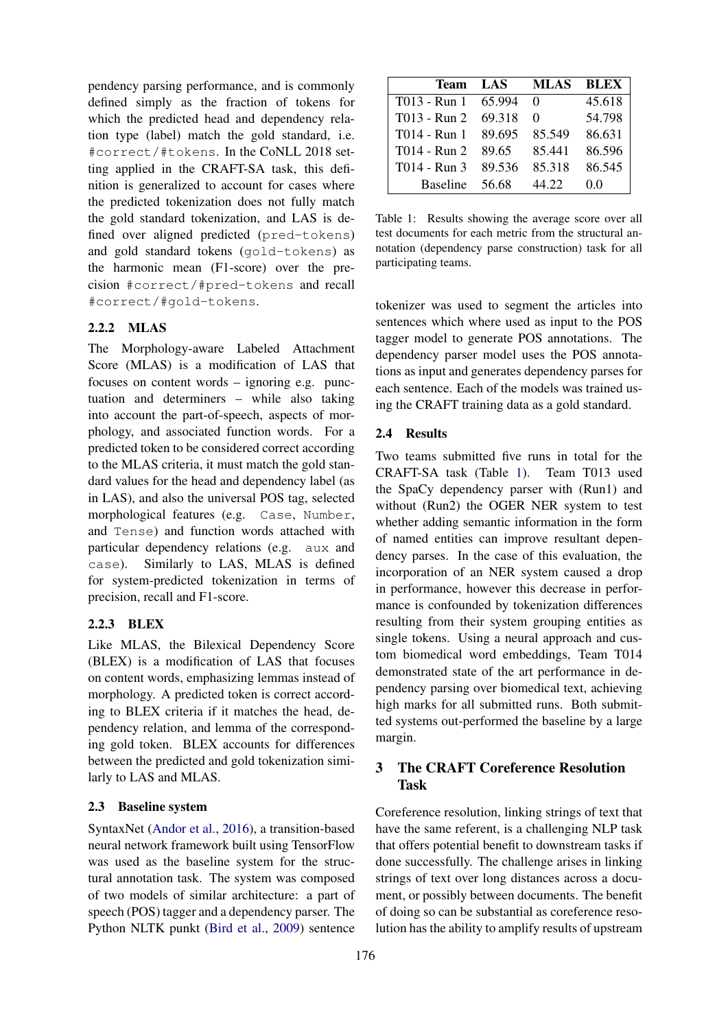pendency parsing performance, and is commonly defined simply as the fraction of tokens for which the predicted head and dependency relation type (label) match the gold standard, i.e. #correct/#tokens. In the CoNLL 2018 setting applied in the CRAFT-SA task, this definition is generalized to account for cases where the predicted tokenization does not fully match the gold standard tokenization, and LAS is defined over aligned predicted (pred-tokens) and gold standard tokens (gold-tokens) as the harmonic mean (F1-score) over the precision #correct/#pred-tokens and recall #correct/#gold-tokens.

#### 2.2.2 MLAS

The Morphology-aware Labeled Attachment Score (MLAS) is a modification of LAS that focuses on content words – ignoring e.g. punctuation and determiners – while also taking into account the part-of-speech, aspects of morphology, and associated function words. For a predicted token to be considered correct according to the MLAS criteria, it must match the gold standard values for the head and dependency label (as in LAS), and also the universal POS tag, selected morphological features (e.g. Case, Number, and Tense) and function words attached with particular dependency relations (e.g. aux and case). Similarly to LAS, MLAS is defined for system-predicted tokenization in terms of precision, recall and F1-score.

#### 2.2.3 BLEX

Like MLAS, the Bilexical Dependency Score (BLEX) is a modification of LAS that focuses on content words, emphasizing lemmas instead of morphology. A predicted token is correct according to BLEX criteria if it matches the head, dependency relation, and lemma of the corresponding gold token. BLEX accounts for differences between the predicted and gold tokenization similarly to LAS and MLAS.

#### 2.3 Baseline system

SyntaxNet [\(Andor et al.,](#page-9-5) [2016\)](#page-9-5), a transition-based neural network framework built using TensorFlow was used as the baseline system for the structural annotation task. The system was composed of two models of similar architecture: a part of speech (POS) tagger and a dependency parser. The Python NLTK punkt [\(Bird et al.,](#page-9-6) [2009\)](#page-9-6) sentence

<span id="page-2-0"></span>

| Team            | LAS    | <b>MLAS</b> | <b>BLEX</b> |
|-----------------|--------|-------------|-------------|
| T013 - Run 1    | 65.994 | 0           | 45.618      |
| T013 - Run 2    | 69.318 | 0           | 54.798      |
| T014 - Run 1    | 89.695 | 85.549      | 86.631      |
| T014 - Run 2    | 89.65  | 85.441      | 86.596      |
| T014 - Run 3    | 89.536 | 85.318      | 86.545      |
| <b>Baseline</b> | 56.68  | 44.22       | 0.0         |

Table 1: Results showing the average score over all test documents for each metric from the structural annotation (dependency parse construction) task for all participating teams.

tokenizer was used to segment the articles into sentences which where used as input to the POS tagger model to generate POS annotations. The dependency parser model uses the POS annotations as input and generates dependency parses for each sentence. Each of the models was trained using the CRAFT training data as a gold standard.

#### 2.4 Results

Two teams submitted five runs in total for the CRAFT-SA task (Table [1\)](#page-2-0). Team T013 used the SpaCy dependency parser with (Run1) and without (Run2) the OGER NER system to test whether adding semantic information in the form of named entities can improve resultant dependency parses. In the case of this evaluation, the incorporation of an NER system caused a drop in performance, however this decrease in performance is confounded by tokenization differences resulting from their system grouping entities as single tokens. Using a neural approach and custom biomedical word embeddings, Team T014 demonstrated state of the art performance in dependency parsing over biomedical text, achieving high marks for all submitted runs. Both submitted systems out-performed the baseline by a large margin.

## 3 The CRAFT Coreference Resolution Task

Coreference resolution, linking strings of text that have the same referent, is a challenging NLP task that offers potential benefit to downstream tasks if done successfully. The challenge arises in linking strings of text over long distances across a document, or possibly between documents. The benefit of doing so can be substantial as coreference resolution has the ability to amplify results of upstream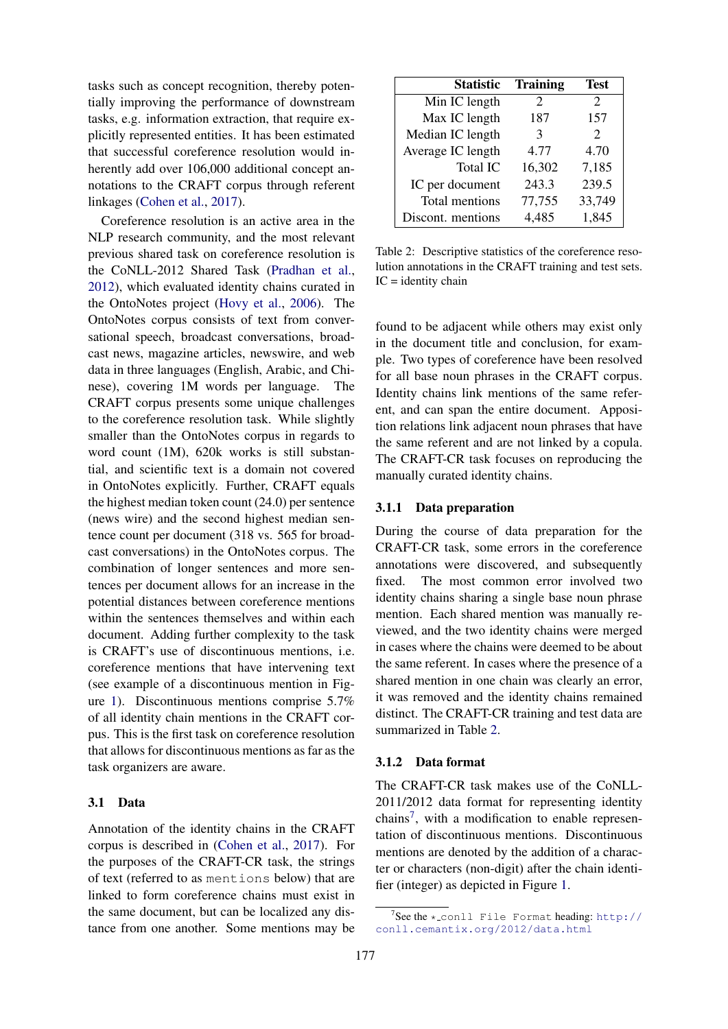tasks such as concept recognition, thereby potentially improving the performance of downstream tasks, e.g. information extraction, that require explicitly represented entities. It has been estimated that successful coreference resolution would inherently add over 106,000 additional concept annotations to the CRAFT corpus through referent linkages [\(Cohen et al.,](#page-9-0) [2017\)](#page-9-0).

Coreference resolution is an active area in the NLP research community, and the most relevant previous shared task on coreference resolution is the CoNLL-2012 Shared Task [\(Pradhan et al.,](#page-10-7) [2012\)](#page-10-7), which evaluated identity chains curated in the OntoNotes project [\(Hovy et al.,](#page-10-8) [2006\)](#page-10-8). The OntoNotes corpus consists of text from conversational speech, broadcast conversations, broadcast news, magazine articles, newswire, and web data in three languages (English, Arabic, and Chinese), covering 1M words per language. The CRAFT corpus presents some unique challenges to the coreference resolution task. While slightly smaller than the OntoNotes corpus in regards to word count (1M), 620k works is still substantial, and scientific text is a domain not covered in OntoNotes explicitly. Further, CRAFT equals the highest median token count (24.0) per sentence (news wire) and the second highest median sentence count per document (318 vs. 565 for broadcast conversations) in the OntoNotes corpus. The combination of longer sentences and more sentences per document allows for an increase in the potential distances between coreference mentions within the sentences themselves and within each document. Adding further complexity to the task is CRAFT's use of discontinuous mentions, i.e. coreference mentions that have intervening text (see example of a discontinuous mention in Figure [1\)](#page-4-0). Discontinuous mentions comprise 5.7% of all identity chain mentions in the CRAFT corpus. This is the first task on coreference resolution that allows for discontinuous mentions as far as the task organizers are aware.

#### 3.1 Data

Annotation of the identity chains in the CRAFT corpus is described in [\(Cohen et al.,](#page-9-0) [2017\)](#page-9-0). For the purposes of the CRAFT-CR task, the strings of text (referred to as mentions below) that are linked to form coreference chains must exist in the same document, but can be localized any distance from one another. Some mentions may be

<span id="page-3-0"></span>

| <b>Statistic</b>  | <b>Training</b> | <b>Test</b>                 |
|-------------------|-----------------|-----------------------------|
| Min IC length     | 2               | $\mathcal{D}_{\cdot}$       |
| Max IC length     | 187             | 157                         |
| Median IC length  | 3               | $\mathcal{D}_{\mathcal{L}}$ |
| Average IC length | 4.77            | 4.70                        |
| <b>Total IC</b>   | 16,302          | 7,185                       |
| IC per document   | 243.3           | 239.5                       |
| Total mentions    | 77,755          | 33,749                      |
| Discont. mentions | 4,485           | 1,845                       |

Table 2: Descriptive statistics of the coreference resolution annotations in the CRAFT training and test sets.  $IC = identity chain$ 

found to be adjacent while others may exist only in the document title and conclusion, for example. Two types of coreference have been resolved for all base noun phrases in the CRAFT corpus. Identity chains link mentions of the same referent, and can span the entire document. Apposition relations link adjacent noun phrases that have the same referent and are not linked by a copula. The CRAFT-CR task focuses on reproducing the manually curated identity chains.

#### 3.1.1 Data preparation

During the course of data preparation for the CRAFT-CR task, some errors in the coreference annotations were discovered, and subsequently fixed. The most common error involved two identity chains sharing a single base noun phrase mention. Each shared mention was manually reviewed, and the two identity chains were merged in cases where the chains were deemed to be about the same referent. In cases where the presence of a shared mention in one chain was clearly an error, it was removed and the identity chains remained distinct. The CRAFT-CR training and test data are summarized in Table [2.](#page-3-0)

#### 3.1.2 Data format

The CRAFT-CR task makes use of the CoNLL-2011/2012 data format for representing identity chains<sup>[7](#page-3-1)</sup>, with a modification to enable representation of discontinuous mentions. Discontinuous mentions are denoted by the addition of a character or characters (non-digit) after the chain identifier (integer) as depicted in Figure [1.](#page-4-0)

<span id="page-3-1"></span><sup>7</sup> See the \* conll File Format heading: [http://](http://conll.cemantix.org/2012/data.html) [conll.cemantix.org/2012/data.html](http://conll.cemantix.org/2012/data.html)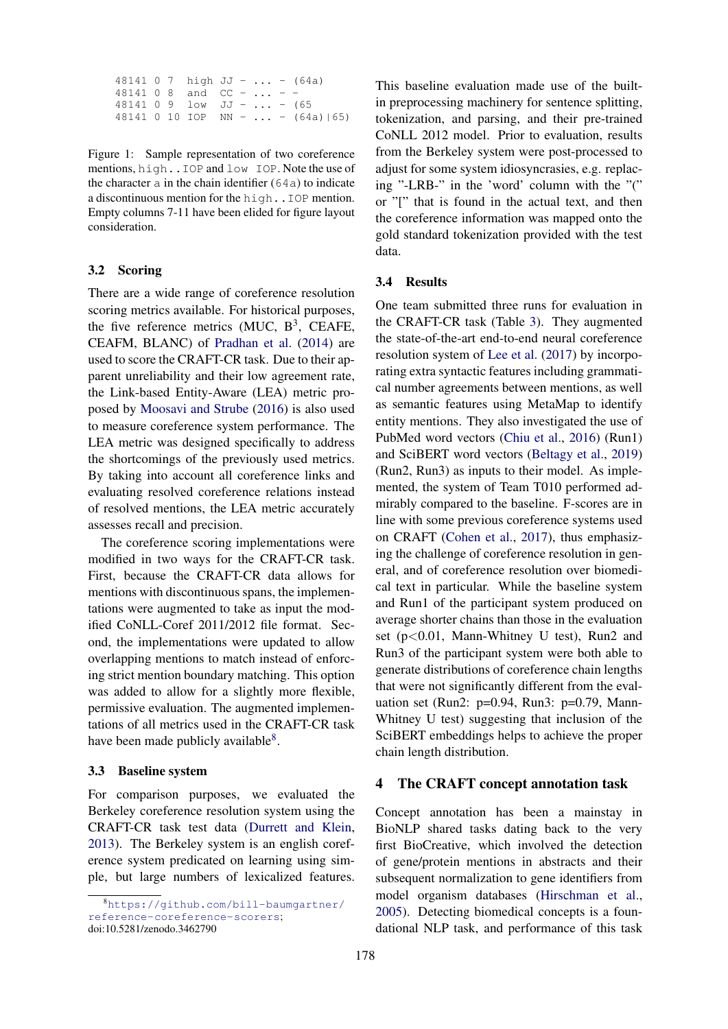<span id="page-4-0"></span>48141 0 7 high  $JJ - ... - (64a)$ 48141 0 8 and  $CC - ... -$ 48141 0 9 low JJ - ... - (65 48141 0 10 IOP NN - ... - (64a)|65)

Figure 1: Sample representation of two coreference mentions, high..IOP and low IOP. Note the use of the character  $\alpha$  in the chain identifier (64 $\alpha$ ) to indicate a discontinuous mention for the high..IOP mention. Empty columns 7-11 have been elided for figure layout consideration.

#### 3.2 Scoring

There are a wide range of coreference resolution scoring metrics available. For historical purposes, the five reference metrics (MUC,  $B^3$ , CEAFE, CEAFM, BLANC) of [Pradhan et al.](#page-10-9) [\(2014\)](#page-10-9) are used to score the CRAFT-CR task. Due to their apparent unreliability and their low agreement rate, the Link-based Entity-Aware (LEA) metric proposed by [Moosavi and Strube](#page-10-10) [\(2016\)](#page-10-10) is also used to measure coreference system performance. The LEA metric was designed specifically to address the shortcomings of the previously used metrics. By taking into account all coreference links and evaluating resolved coreference relations instead of resolved mentions, the LEA metric accurately assesses recall and precision.

The coreference scoring implementations were modified in two ways for the CRAFT-CR task. First, because the CRAFT-CR data allows for mentions with discontinuous spans, the implementations were augmented to take as input the modified CoNLL-Coref 2011/2012 file format. Second, the implementations were updated to allow overlapping mentions to match instead of enforcing strict mention boundary matching. This option was added to allow for a slightly more flexible, permissive evaluation. The augmented implementations of all metrics used in the CRAFT-CR task have been made publicly available<sup>[8](#page-4-1)</sup>.

#### 3.3 Baseline system

For comparison purposes, we evaluated the Berkeley coreference resolution system using the CRAFT-CR task test data [\(Durrett and Klein,](#page-9-7) [2013\)](#page-9-7). The Berkeley system is an english coreference system predicated on learning using simple, but large numbers of lexicalized features.

This baseline evaluation made use of the builtin preprocessing machinery for sentence splitting, tokenization, and parsing, and their pre-trained CoNLL 2012 model. Prior to evaluation, results from the Berkeley system were post-processed to adjust for some system idiosyncrasies, e.g. replacing "-LRB-" in the 'word' column with the "(" or "[" that is found in the actual text, and then the coreference information was mapped onto the gold standard tokenization provided with the test data.

#### 3.4 Results

One team submitted three runs for evaluation in the CRAFT-CR task (Table [3\)](#page-5-0). They augmented the state-of-the-art end-to-end neural coreference resolution system of [Lee et al.](#page-10-11) [\(2017\)](#page-10-11) by incorporating extra syntactic features including grammatical number agreements between mentions, as well as semantic features using MetaMap to identify entity mentions. They also investigated the use of PubMed word vectors [\(Chiu et al.,](#page-9-8) [2016\)](#page-9-8) (Run1) and SciBERT word vectors [\(Beltagy et al.,](#page-9-9) [2019\)](#page-9-9) (Run2, Run3) as inputs to their model. As implemented, the system of Team T010 performed admirably compared to the baseline. F-scores are in line with some previous coreference systems used on CRAFT [\(Cohen et al.,](#page-9-0) [2017\)](#page-9-0), thus emphasizing the challenge of coreference resolution in general, and of coreference resolution over biomedical text in particular. While the baseline system and Run1 of the participant system produced on average shorter chains than those in the evaluation set (p<0.01, Mann-Whitney U test), Run2 and Run3 of the participant system were both able to generate distributions of coreference chain lengths that were not significantly different from the evaluation set (Run2: p=0.94, Run3: p=0.79, Mann-Whitney U test) suggesting that inclusion of the SciBERT embeddings helps to achieve the proper chain length distribution.

#### 4 The CRAFT concept annotation task

Concept annotation has been a mainstay in BioNLP shared tasks dating back to the very first BioCreative, which involved the detection of gene/protein mentions in abstracts and their subsequent normalization to gene identifiers from model organism databases [\(Hirschman et al.,](#page-10-3) [2005\)](#page-10-3). Detecting biomedical concepts is a foundational NLP task, and performance of this task

<span id="page-4-1"></span><sup>8</sup>[https://github.com/bill-baumgartner/](https://github.com/bill-baumgartner/reference-coreference-scorers) [reference-coreference-scorers](https://github.com/bill-baumgartner/reference-coreference-scorers); doi:10.5281/zenodo.3462790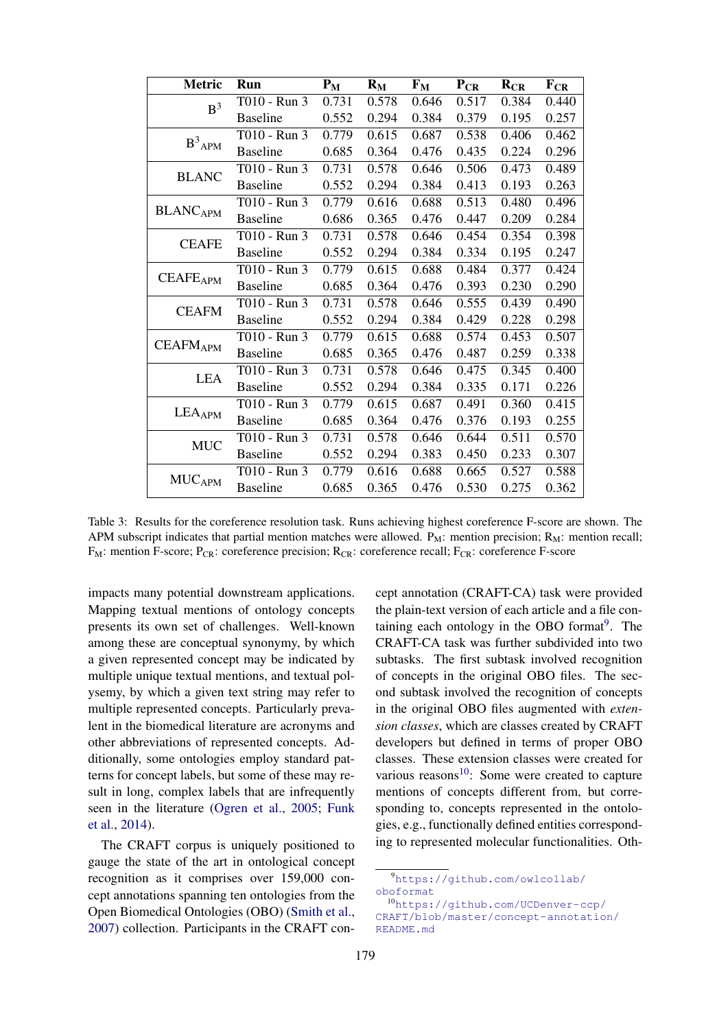<span id="page-5-0"></span>

| <b>Metric</b>              | Run             | $P_M$ | $R_{\rm M}$ | $F_M$ | $P_{CR}$ | $R_{CR}$ | $F_{CR}$ |
|----------------------------|-----------------|-------|-------------|-------|----------|----------|----------|
| B <sup>3</sup>             | T010 - Run 3    | 0.731 | 0.578       | 0.646 | 0.517    | 0.384    | 0.440    |
|                            | <b>Baseline</b> | 0.552 | 0.294       | 0.384 | 0.379    | 0.195    | 0.257    |
|                            | T010 - Run 3    | 0.779 | 0.615       | 0.687 | 0.538    | 0.406    | 0.462    |
| $\text{B}^3\text{APM}$     | <b>Baseline</b> | 0.685 | 0.364       | 0.476 | 0.435    | 0.224    | 0.296    |
| <b>BLANC</b>               | T010 - Run 3    | 0.731 | 0.578       | 0.646 | 0.506    | 0.473    | 0.489    |
|                            | <b>Baseline</b> | 0.552 | 0.294       | 0.384 | 0.413    | 0.193    | 0.263    |
|                            | T010 - Run 3    | 0.779 | 0.616       | 0.688 | 0.513    | 0.480    | 0.496    |
| <b>BLANCAPM</b>            | <b>Baseline</b> | 0.686 | 0.365       | 0.476 | 0.447    | 0.209    | 0.284    |
| <b>CEAFE</b>               | T010 - Run 3    | 0.731 | 0.578       | 0.646 | 0.454    | 0.354    | 0.398    |
|                            | <b>Baseline</b> | 0.552 | 0.294       | 0.384 | 0.334    | 0.195    | 0.247    |
|                            | T010 - Run 3    | 0.779 | 0.615       | 0.688 | 0.484    | 0.377    | 0.424    |
| <b>CEAFE<sub>APM</sub></b> | <b>Baseline</b> | 0.685 | 0.364       | 0.476 | 0.393    | 0.230    | 0.290    |
| <b>CEAFM</b>               | T010 - Run 3    | 0.731 | 0.578       | 0.646 | 0.555    | 0.439    | 0.490    |
|                            | <b>Baseline</b> | 0.552 | 0.294       | 0.384 | 0.429    | 0.228    | 0.298    |
| <b>CEAFMAPM</b>            | T010 - Run 3    | 0.779 | 0.615       | 0.688 | 0.574    | 0.453    | 0.507    |
|                            | <b>Baseline</b> | 0.685 | 0.365       | 0.476 | 0.487    | 0.259    | 0.338    |
| <b>LEA</b>                 | T010 - Run 3    | 0.731 | 0.578       | 0.646 | 0.475    | 0.345    | 0.400    |
|                            | <b>Baseline</b> | 0.552 | 0.294       | 0.384 | 0.335    | 0.171    | 0.226    |
| LEAAPM                     | T010 - Run 3    | 0.779 | 0.615       | 0.687 | 0.491    | 0.360    | 0.415    |
|                            | <b>Baseline</b> | 0.685 | 0.364       | 0.476 | 0.376    | 0.193    | 0.255    |
| <b>MUC</b>                 | T010 - Run 3    | 0.731 | 0.578       | 0.646 | 0.644    | 0.511    | 0.570    |
|                            | <b>Baseline</b> | 0.552 | 0.294       | 0.383 | 0.450    | 0.233    | 0.307    |
| <b>MUCAPM</b>              | T010 - Run 3    | 0.779 | 0.616       | 0.688 | 0.665    | 0.527    | 0.588    |
|                            | <b>Baseline</b> | 0.685 | 0.365       | 0.476 | 0.530    | 0.275    | 0.362    |

Table 3: Results for the coreference resolution task. Runs achieving highest coreference F-score are shown. The APM subscript indicates that partial mention matches were allowed.  $P_M$ : mention precision;  $R_M$ : mention recall;  $F_M$ : mention F-score;  $P_{CR}$ : coreference precision;  $R_{CR}$ : coreference recall;  $F_{CR}$ : coreference F-score

impacts many potential downstream applications. Mapping textual mentions of ontology concepts presents its own set of challenges. Well-known among these are conceptual synonymy, by which a given represented concept may be indicated by multiple unique textual mentions, and textual polysemy, by which a given text string may refer to multiple represented concepts. Particularly prevalent in the biomedical literature are acronyms and other abbreviations of represented concepts. Additionally, some ontologies employ standard patterns for concept labels, but some of these may result in long, complex labels that are infrequently seen in the literature [\(Ogren et al.,](#page-10-12) [2005;](#page-10-12) [Funk](#page-9-10) [et al.,](#page-9-10) [2014\)](#page-9-10).

The CRAFT corpus is uniquely positioned to gauge the state of the art in ontological concept recognition as it comprises over 159,000 concept annotations spanning ten ontologies from the Open Biomedical Ontologies (OBO) [\(Smith et al.,](#page-10-13) [2007\)](#page-10-13) collection. Participants in the CRAFT con-

cept annotation (CRAFT-CA) task were provided the plain-text version of each article and a file con-taining each ontology in the OBO format<sup>[9](#page-5-1)</sup>. The CRAFT-CA task was further subdivided into two subtasks. The first subtask involved recognition of concepts in the original OBO files. The second subtask involved the recognition of concepts in the original OBO files augmented with *extension classes*, which are classes created by CRAFT developers but defined in terms of proper OBO classes. These extension classes were created for various reasons $10$ : Some were created to capture mentions of concepts different from, but corresponding to, concepts represented in the ontologies, e.g., functionally defined entities corresponding to represented molecular functionalities. Oth-

<span id="page-5-1"></span><sup>9</sup>[https://github.com/owlcollab/](https://github.com/owlcollab/oboformat) [oboformat](https://github.com/owlcollab/oboformat)

<span id="page-5-2"></span><sup>10</sup>[https://github.com/UCDenver-ccp/](https://github.com/UCDenver-ccp/CRAFT/blob/master/concept-annotation/README.md) [CRAFT/blob/master/concept-annotation/](https://github.com/UCDenver-ccp/CRAFT/blob/master/concept-annotation/README.md) [README.md](https://github.com/UCDenver-ccp/CRAFT/blob/master/concept-annotation/README.md)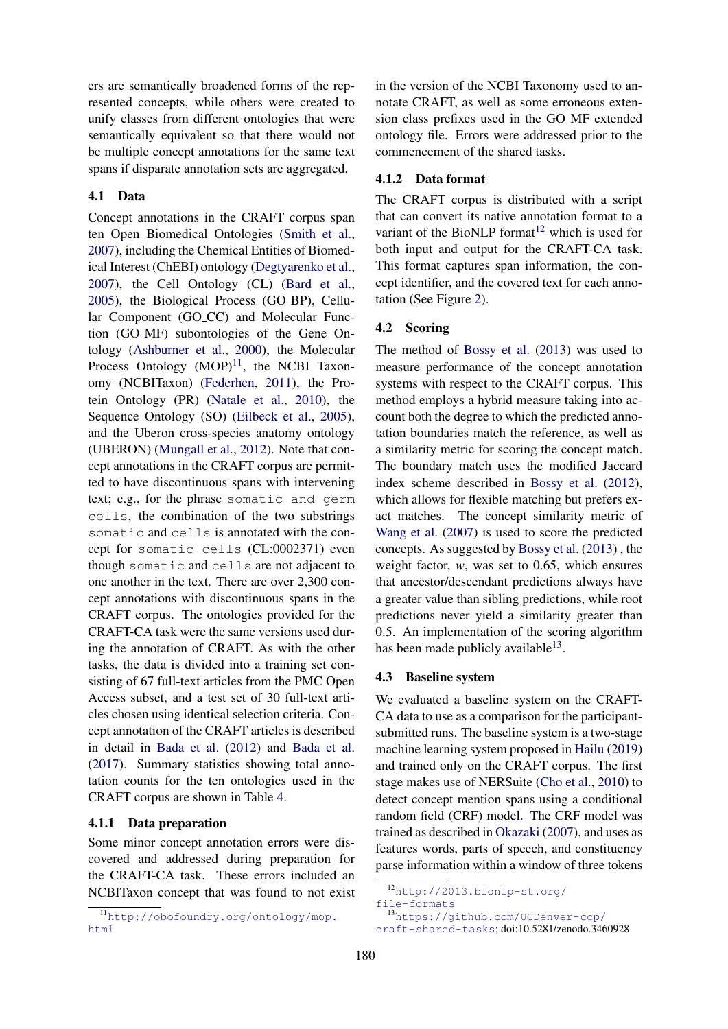ers are semantically broadened forms of the represented concepts, while others were created to unify classes from different ontologies that were semantically equivalent so that there would not be multiple concept annotations for the same text spans if disparate annotation sets are aggregated.

### 4.1 Data

Concept annotations in the CRAFT corpus span ten Open Biomedical Ontologies [\(Smith et al.,](#page-10-13) [2007\)](#page-10-13), including the Chemical Entities of Biomedical Interest (ChEBI) ontology [\(Degtyarenko et al.,](#page-9-11) [2007\)](#page-9-11), the Cell Ontology (CL) [\(Bard et al.,](#page-9-12) [2005\)](#page-9-12), the Biological Process (GO BP), Cellular Component (GO\_CC) and Molecular Function (GO MF) subontologies of the Gene Ontology [\(Ashburner et al.,](#page-9-13) [2000\)](#page-9-13), the Molecular Process Ontology  $(MOP)^{11}$  $(MOP)^{11}$  $(MOP)^{11}$ , the NCBI Taxonomy (NCBITaxon) [\(Federhen,](#page-9-14) [2011\)](#page-9-14), the Protein Ontology (PR) [\(Natale et al.,](#page-10-14) [2010\)](#page-10-14), the Sequence Ontology (SO) [\(Eilbeck et al.,](#page-9-15) [2005\)](#page-9-15), and the Uberon cross-species anatomy ontology (UBERON) [\(Mungall et al.,](#page-10-15) [2012\)](#page-10-15). Note that concept annotations in the CRAFT corpus are permitted to have discontinuous spans with intervening text; e.g., for the phrase somatic and germ cells, the combination of the two substrings somatic and cells is annotated with the concept for somatic cells (CL:0002371) even though somatic and cells are not adjacent to one another in the text. There are over 2,300 concept annotations with discontinuous spans in the CRAFT corpus. The ontologies provided for the CRAFT-CA task were the same versions used during the annotation of CRAFT. As with the other tasks, the data is divided into a training set consisting of 67 full-text articles from the PMC Open Access subset, and a test set of 30 full-text articles chosen using identical selection criteria. Concept annotation of the CRAFT articles is described in detail in [Bada et al.](#page-9-16) [\(2012\)](#page-9-16) and [Bada et al.](#page-9-17) [\(2017\)](#page-9-17). Summary statistics showing total annotation counts for the ten ontologies used in the CRAFT corpus are shown in Table [4.](#page-7-0)

#### 4.1.1 Data preparation

Some minor concept annotation errors were discovered and addressed during preparation for the CRAFT-CA task. These errors included an NCBITaxon concept that was found to not exist

in the version of the NCBI Taxonomy used to annotate CRAFT, as well as some erroneous extension class prefixes used in the GO MF extended ontology file. Errors were addressed prior to the commencement of the shared tasks.

## 4.1.2 Data format

The CRAFT corpus is distributed with a script that can convert its native annotation format to a variant of the BioNLP format<sup>[12](#page-6-1)</sup> which is used for both input and output for the CRAFT-CA task. This format captures span information, the concept identifier, and the covered text for each annotation (See Figure [2\)](#page-7-1).

#### 4.2 Scoring

The method of [Bossy et al.](#page-9-18) [\(2013\)](#page-9-18) was used to measure performance of the concept annotation systems with respect to the CRAFT corpus. This method employs a hybrid measure taking into account both the degree to which the predicted annotation boundaries match the reference, as well as a similarity metric for scoring the concept match. The boundary match uses the modified Jaccard index scheme described in [Bossy et al.](#page-9-19) [\(2012\)](#page-9-19), which allows for flexible matching but prefers exact matches. The concept similarity metric of [Wang et al.](#page-10-16) [\(2007\)](#page-10-16) is used to score the predicted concepts. As suggested by [Bossy et al.](#page-9-18) [\(2013\)](#page-9-18) , the weight factor, *w*, was set to 0.65, which ensures that ancestor/descendant predictions always have a greater value than sibling predictions, while root predictions never yield a similarity greater than 0.5. An implementation of the scoring algorithm has been made publicly available $^{13}$  $^{13}$  $^{13}$ .

#### 4.3 Baseline system

We evaluated a baseline system on the CRAFT-CA data to use as a comparison for the participantsubmitted runs. The baseline system is a two-stage machine learning system proposed in [Hailu](#page-10-17) [\(2019\)](#page-10-17) and trained only on the CRAFT corpus. The first stage makes use of NERSuite [\(Cho et al.,](#page-9-20) [2010\)](#page-9-20) to detect concept mention spans using a conditional random field (CRF) model. The CRF model was trained as described in [Okazaki](#page-10-18) [\(2007\)](#page-10-18), and uses as features words, parts of speech, and constituency parse information within a window of three tokens

<span id="page-6-0"></span><sup>11</sup>[http://obofoundry.org/ontology/mop.](http://obofoundry.org/ontology/mop.html) [html](http://obofoundry.org/ontology/mop.html)

<span id="page-6-1"></span><sup>12</sup>[http://2013.bionlp-st.org/](http://2013.bionlp-st.org/file-formats)

[file-formats](http://2013.bionlp-st.org/file-formats)

<span id="page-6-2"></span><sup>13</sup>[https://github.com/UCDenver-ccp/](https://github.com/UCDenver-ccp/craft-shared-tasks)

[craft-shared-tasks](https://github.com/UCDenver-ccp/craft-shared-tasks); doi:10.5281/zenodo.3460928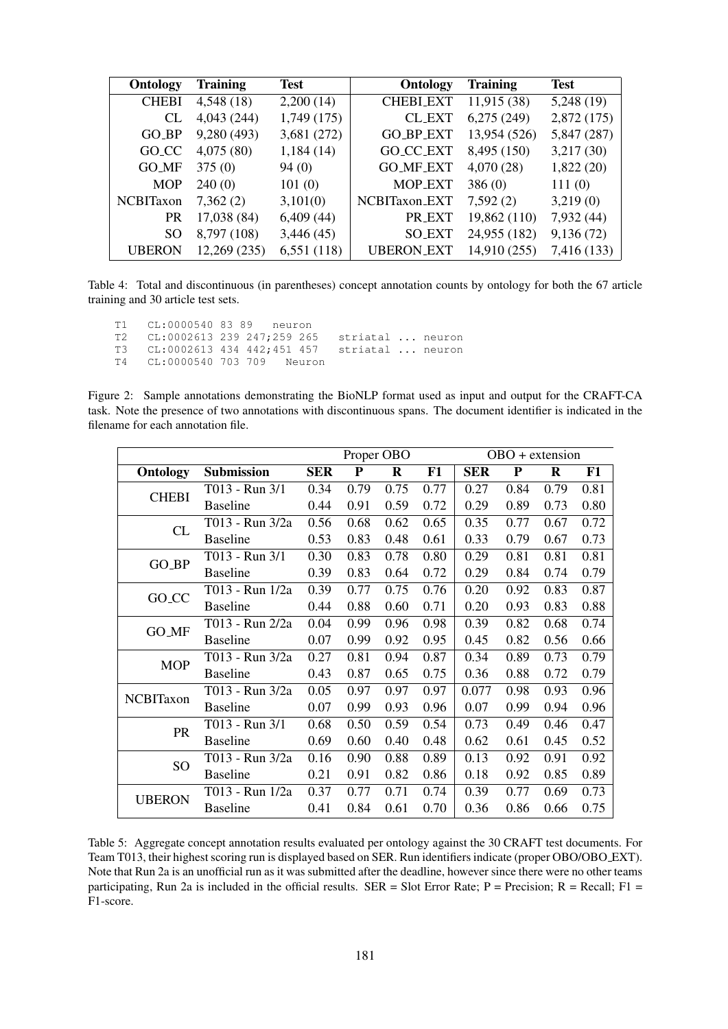<span id="page-7-0"></span>

| Ontology          | <b>Training</b> | <b>Test</b> | <b>Ontology</b>      | <b>Training</b> | <b>Test</b> |
|-------------------|-----------------|-------------|----------------------|-----------------|-------------|
| <b>CHEBI</b>      | 4,548 (18)      | 2,200(14)   | <b>CHEBLEXT</b>      | 11,915 (38)     | 5,248(19)   |
| CL                | 4,043 (244)     | 1,749(175)  | <b>CL_EXT</b>        | 6,275(249)      | 2,872 (175) |
| $GO_BP$           | 9,280 (493)     | 3,681 (272) | <b>GO_BP_EXT</b>     | 13,954 (526)    | 5,847 (287) |
| GO <sub>_CC</sub> | 4,075(80)       | 1,184(14)   | GO <sub>CC</sub> EXT | 8,495 (150)     | 3,217(30)   |
| <b>GO_MF</b>      | 375(0)          | 94(0)       | <b>GO_MF_EXT</b>     | 4,070(28)       | 1,822(20)   |
| <b>MOP</b>        | 240(0)          | 101(0)      | <b>MOP_EXT</b>       | 386(0)          | 111(0)      |
| NCBITaxon         | 7,362(2)        | 3,101(0)    | NCBITaxon_EXT        | 7,592(2)        | 3,219(0)    |
| <b>PR</b>         | 17,038 (84)     | 6,409(44)   | PR_EXT               | 19,862 (110)    | 7,932 (44)  |
| SO.               | 8,797 (108)     | 3,446(45)   | <b>SO_EXT</b>        | 24,955 (182)    | 9,136(72)   |
| <b>UBERON</b>     | 12,269 (235)    | 6,551(118)  | <b>UBERON_EXT</b>    | 14,910 (255)    | 7,416 (133) |

Table 4: Total and discontinuous (in parentheses) concept annotation counts by ontology for both the 67 article training and 30 article test sets.

<span id="page-7-1"></span>T1 CL:0000540 83 89 neuron T2 CL:0002613 239 247;259 265 striatal ... neuron T3 CL:0002613 434 442;451 457 striatal ... neuron T4 CL:0000540 703 709 Neuron

Figure 2: Sample annotations demonstrating the BioNLP format used as input and output for the CRAFT-CA task. Note the presence of two annotations with discontinuous spans. The document identifier is indicated in the filename for each annotation file.

<span id="page-7-2"></span>

|                   |                   | Proper OBO |           |         |      | $OBO +$ extension |           |         |      |
|-------------------|-------------------|------------|-----------|---------|------|-------------------|-----------|---------|------|
| <b>Ontology</b>   | <b>Submission</b> | <b>SER</b> | ${\bf P}$ | $\bf R$ | F1   | <b>SER</b>        | ${\bf P}$ | $\bf R$ | F1   |
| <b>CHEBI</b>      | T013 - Run 3/1    | 0.34       | 0.79      | 0.75    | 0.77 | 0.27              | 0.84      | 0.79    | 0.81 |
|                   | <b>Baseline</b>   | 0.44       | 0.91      | 0.59    | 0.72 | 0.29              | 0.89      | 0.73    | 0.80 |
| CL                | T013 - Run 3/2a   | 0.56       | 0.68      | 0.62    | 0.65 | 0.35              | 0.77      | 0.67    | 0.72 |
|                   | <b>Baseline</b>   | 0.53       | 0.83      | 0.48    | 0.61 | 0.33              | 0.79      | 0.67    | 0.73 |
|                   | T013 - Run 3/1    | 0.30       | 0.83      | 0.78    | 0.80 | 0.29              | 0.81      | 0.81    | 0.81 |
| GO_BP             | <b>Baseline</b>   | 0.39       | 0.83      | 0.64    | 0.72 | 0.29              | 0.84      | 0.74    | 0.79 |
|                   | T013 - Run 1/2a   | 0.39       | 0.77      | 0.75    | 0.76 | 0.20              | 0.92      | 0.83    | 0.87 |
| GO <sub>_CC</sub> | <b>Baseline</b>   | 0.44       | 0.88      | 0.60    | 0.71 | 0.20              | 0.93      | 0.83    | 0.88 |
|                   | T013 - Run 2/2a   | 0.04       | 0.99      | 0.96    | 0.98 | 0.39              | 0.82      | 0.68    | 0.74 |
| <b>GO_MF</b>      | <b>Baseline</b>   | 0.07       | 0.99      | 0.92    | 0.95 | 0.45              | 0.82      | 0.56    | 0.66 |
| <b>MOP</b>        | T013 - Run 3/2a   | 0.27       | 0.81      | 0.94    | 0.87 | 0.34              | 0.89      | 0.73    | 0.79 |
|                   | <b>Baseline</b>   | 0.43       | 0.87      | 0.65    | 0.75 | 0.36              | 0.88      | 0.72    | 0.79 |
| NCBITaxon         | T013 - Run 3/2a   | 0.05       | 0.97      | 0.97    | 0.97 | 0.077             | 0.98      | 0.93    | 0.96 |
|                   | <b>Baseline</b>   | 0.07       | 0.99      | 0.93    | 0.96 | 0.07              | 0.99      | 0.94    | 0.96 |
| <b>PR</b>         | T013 - Run 3/1    | 0.68       | 0.50      | 0.59    | 0.54 | 0.73              | 0.49      | 0.46    | 0.47 |
|                   | <b>Baseline</b>   | 0.69       | 0.60      | 0.40    | 0.48 | 0.62              | 0.61      | 0.45    | 0.52 |
| SO <sub>1</sub>   | T013 - Run 3/2a   | 0.16       | 0.90      | 0.88    | 0.89 | 0.13              | 0.92      | 0.91    | 0.92 |
|                   | <b>Baseline</b>   | 0.21       | 0.91      | 0.82    | 0.86 | 0.18              | 0.92      | 0.85    | 0.89 |
| <b>UBERON</b>     | T013 - Run 1/2a   | 0.37       | 0.77      | 0.71    | 0.74 | 0.39              | 0.77      | 0.69    | 0.73 |
|                   | <b>Baseline</b>   | 0.41       | 0.84      | 0.61    | 0.70 | 0.36              | 0.86      | 0.66    | 0.75 |

Table 5: Aggregate concept annotation results evaluated per ontology against the 30 CRAFT test documents. For Team T013, their highest scoring run is displayed based on SER. Run identifiers indicate (proper OBO/OBO EXT). Note that Run 2a is an unofficial run as it was submitted after the deadline, however since there were no other teams participating, Run 2a is included in the official results. SER = Slot Error Rate;  $P = Precision; R = Recall; F1 =$ F1-score.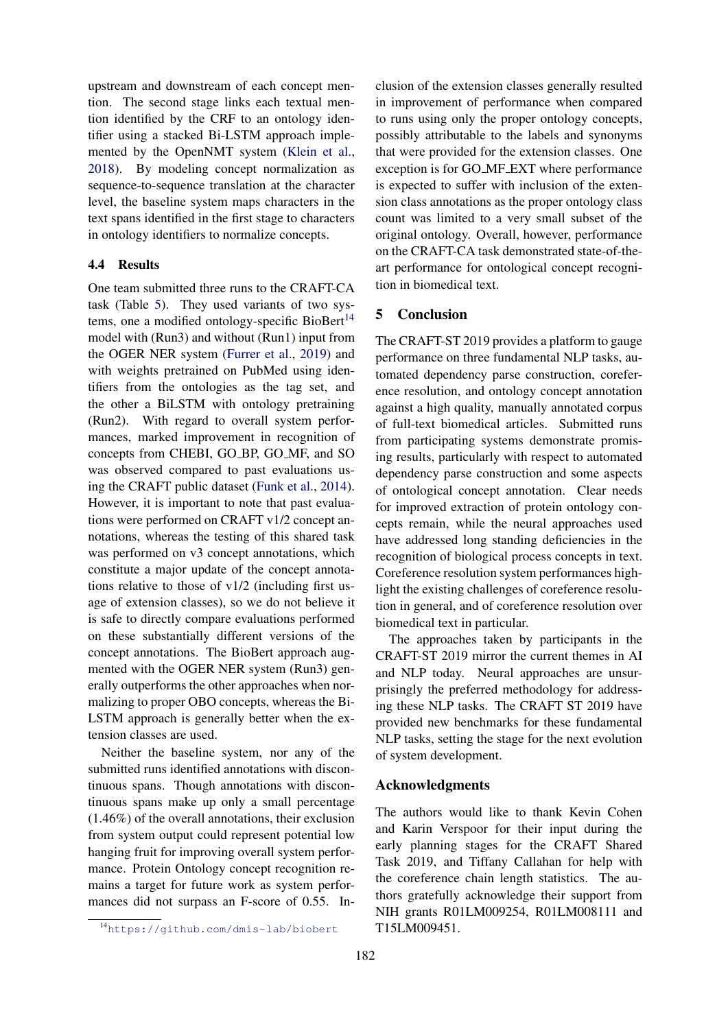upstream and downstream of each concept mention. The second stage links each textual mention identified by the CRF to an ontology identifier using a stacked Bi-LSTM approach implemented by the OpenNMT system [\(Klein et al.,](#page-10-19) [2018\)](#page-10-19). By modeling concept normalization as sequence-to-sequence translation at the character level, the baseline system maps characters in the text spans identified in the first stage to characters in ontology identifiers to normalize concepts.

#### 4.4 Results

One team submitted three runs to the CRAFT-CA task (Table [5\)](#page-7-2). They used variants of two systems, one a modified ontology-specific BioBert $14$ model with (Run3) and without (Run1) input from the OGER NER system [\(Furrer et al.,](#page-9-21) [2019\)](#page-9-21) and with weights pretrained on PubMed using identifiers from the ontologies as the tag set, and the other a BiLSTM with ontology pretraining (Run2). With regard to overall system performances, marked improvement in recognition of concepts from CHEBI, GO BP, GO MF, and SO was observed compared to past evaluations using the CRAFT public dataset [\(Funk et al.,](#page-9-10) [2014\)](#page-9-10). However, it is important to note that past evaluations were performed on CRAFT v1/2 concept annotations, whereas the testing of this shared task was performed on v3 concept annotations, which constitute a major update of the concept annotations relative to those of v1/2 (including first usage of extension classes), so we do not believe it is safe to directly compare evaluations performed on these substantially different versions of the concept annotations. The BioBert approach augmented with the OGER NER system (Run3) generally outperforms the other approaches when normalizing to proper OBO concepts, whereas the Bi-LSTM approach is generally better when the extension classes are used.

Neither the baseline system, nor any of the submitted runs identified annotations with discontinuous spans. Though annotations with discontinuous spans make up only a small percentage (1.46%) of the overall annotations, their exclusion from system output could represent potential low hanging fruit for improving overall system performance. Protein Ontology concept recognition remains a target for future work as system performances did not surpass an F-score of 0.55. In-

182

clusion of the extension classes generally resulted in improvement of performance when compared to runs using only the proper ontology concepts, possibly attributable to the labels and synonyms that were provided for the extension classes. One exception is for GO MF EXT where performance is expected to suffer with inclusion of the extension class annotations as the proper ontology class count was limited to a very small subset of the original ontology. Overall, however, performance on the CRAFT-CA task demonstrated state-of-theart performance for ontological concept recognition in biomedical text.

## 5 Conclusion

The CRAFT-ST 2019 provides a platform to gauge performance on three fundamental NLP tasks, automated dependency parse construction, coreference resolution, and ontology concept annotation against a high quality, manually annotated corpus of full-text biomedical articles. Submitted runs from participating systems demonstrate promising results, particularly with respect to automated dependency parse construction and some aspects of ontological concept annotation. Clear needs for improved extraction of protein ontology concepts remain, while the neural approaches used have addressed long standing deficiencies in the recognition of biological process concepts in text. Coreference resolution system performances highlight the existing challenges of coreference resolution in general, and of coreference resolution over biomedical text in particular.

The approaches taken by participants in the CRAFT-ST 2019 mirror the current themes in AI and NLP today. Neural approaches are unsurprisingly the preferred methodology for addressing these NLP tasks. The CRAFT ST 2019 have provided new benchmarks for these fundamental NLP tasks, setting the stage for the next evolution of system development.

#### Acknowledgments

The authors would like to thank Kevin Cohen and Karin Verspoor for their input during the early planning stages for the CRAFT Shared Task 2019, and Tiffany Callahan for help with the coreference chain length statistics. The authors gratefully acknowledge their support from NIH grants R01LM009254, R01LM008111 and T15LM009451.

<span id="page-8-0"></span><sup>14</sup><https://github.com/dmis-lab/biobert>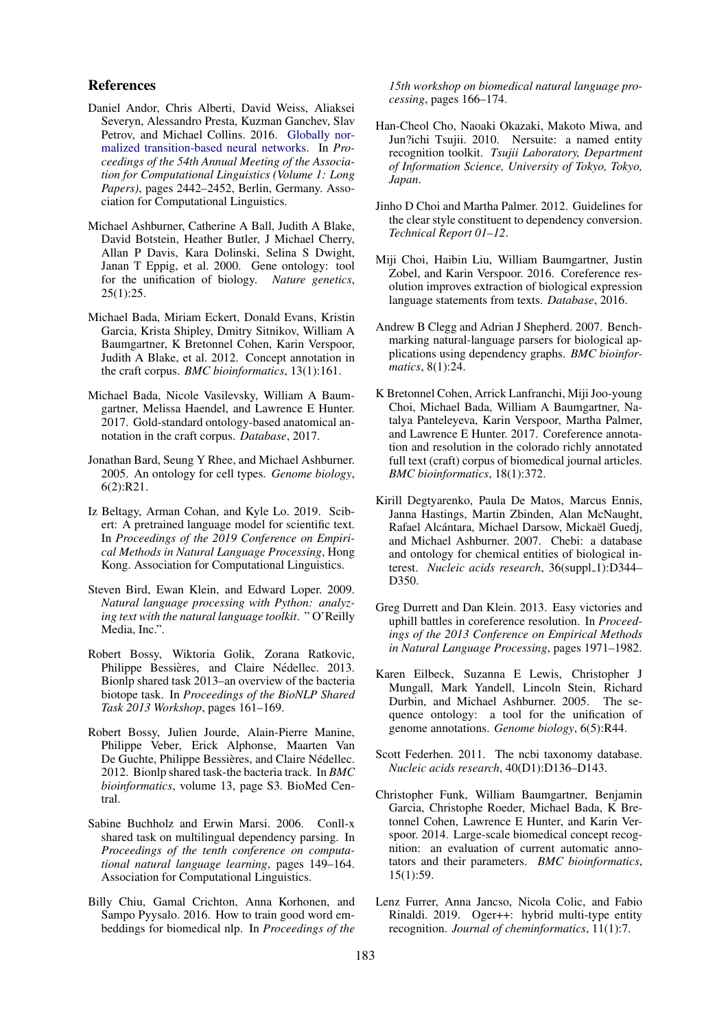#### References

- <span id="page-9-5"></span>Daniel Andor, Chris Alberti, David Weiss, Aliaksei Severyn, Alessandro Presta, Kuzman Ganchev, Slav Petrov, and Michael Collins. 2016. [Globally nor](https://doi.org/10.18653/v1/P16-1231)[malized transition-based neural networks.](https://doi.org/10.18653/v1/P16-1231) In *Proceedings of the 54th Annual Meeting of the Association for Computational Linguistics (Volume 1: Long Papers)*, pages 2442–2452, Berlin, Germany. Association for Computational Linguistics.
- <span id="page-9-13"></span>Michael Ashburner, Catherine A Ball, Judith A Blake, David Botstein, Heather Butler, J Michael Cherry, Allan P Davis, Kara Dolinski, Selina S Dwight, Janan T Eppig, et al. 2000. Gene ontology: tool for the unification of biology. *Nature genetics*, 25(1):25.
- <span id="page-9-16"></span>Michael Bada, Miriam Eckert, Donald Evans, Kristin Garcia, Krista Shipley, Dmitry Sitnikov, William A Baumgartner, K Bretonnel Cohen, Karin Verspoor, Judith A Blake, et al. 2012. Concept annotation in the craft corpus. *BMC bioinformatics*, 13(1):161.
- <span id="page-9-17"></span>Michael Bada, Nicole Vasilevsky, William A Baumgartner, Melissa Haendel, and Lawrence E Hunter. 2017. Gold-standard ontology-based anatomical annotation in the craft corpus. *Database*, 2017.
- <span id="page-9-12"></span>Jonathan Bard, Seung Y Rhee, and Michael Ashburner. 2005. An ontology for cell types. *Genome biology*, 6(2):R21.
- <span id="page-9-9"></span>Iz Beltagy, Arman Cohan, and Kyle Lo. 2019. Scibert: A pretrained language model for scientific text. In *Proceedings of the 2019 Conference on Empirical Methods in Natural Language Processing*, Hong Kong. Association for Computational Linguistics.
- <span id="page-9-6"></span>Steven Bird, Ewan Klein, and Edward Loper. 2009. *Natural language processing with Python: analyzing text with the natural language toolkit*. " O'Reilly Media, Inc.".
- <span id="page-9-18"></span>Robert Bossy, Wiktoria Golik, Zorana Ratkovic, Philippe Bessières, and Claire Nédellec. 2013. Bionlp shared task 2013–an overview of the bacteria biotope task. In *Proceedings of the BioNLP Shared Task 2013 Workshop*, pages 161–169.
- <span id="page-9-19"></span>Robert Bossy, Julien Jourde, Alain-Pierre Manine, Philippe Veber, Erick Alphonse, Maarten Van De Guchte, Philippe Bessières, and Claire Nédellec. 2012. Bionlp shared task-the bacteria track. In *BMC bioinformatics*, volume 13, page S3. BioMed Central.
- <span id="page-9-3"></span>Sabine Buchholz and Erwin Marsi. 2006. Conll-x shared task on multilingual dependency parsing. In *Proceedings of the tenth conference on computational natural language learning*, pages 149–164. Association for Computational Linguistics.
- <span id="page-9-8"></span>Billy Chiu, Gamal Crichton, Anna Korhonen, and Sampo Pyysalo. 2016. How to train good word embeddings for biomedical nlp. In *Proceedings of the*

*15th workshop on biomedical natural language processing*, pages 166–174.

- <span id="page-9-20"></span>Han-Cheol Cho, Naoaki Okazaki, Makoto Miwa, and Jun?ichi Tsujii. 2010. Nersuite: a named entity recognition toolkit. *Tsujii Laboratory, Department of Information Science, University of Tokyo, Tokyo, Japan*.
- <span id="page-9-4"></span>Jinho D Choi and Martha Palmer. 2012. Guidelines for the clear style constituent to dependency conversion. *Technical Report 01–12*.
- <span id="page-9-1"></span>Miji Choi, Haibin Liu, William Baumgartner, Justin Zobel, and Karin Verspoor. 2016. Coreference resolution improves extraction of biological expression language statements from texts. *Database*, 2016.
- <span id="page-9-2"></span>Andrew B Clegg and Adrian J Shepherd. 2007. Benchmarking natural-language parsers for biological applications using dependency graphs. *BMC bioinformatics*, 8(1):24.
- <span id="page-9-0"></span>K Bretonnel Cohen, Arrick Lanfranchi, Miji Joo-young Choi, Michael Bada, William A Baumgartner, Natalya Panteleyeva, Karin Verspoor, Martha Palmer, and Lawrence E Hunter. 2017. Coreference annotation and resolution in the colorado richly annotated full text (craft) corpus of biomedical journal articles. *BMC bioinformatics*, 18(1):372.
- <span id="page-9-11"></span>Kirill Degtyarenko, Paula De Matos, Marcus Ennis, Janna Hastings, Martin Zbinden, Alan McNaught, Rafael Alcántara, Michael Darsow, Mickaël Guedj, and Michael Ashburner. 2007. Chebi: a database and ontology for chemical entities of biological interest. *Nucleic acids research*, 36(suppl\_1):D344-D350.
- <span id="page-9-7"></span>Greg Durrett and Dan Klein. 2013. Easy victories and uphill battles in coreference resolution. In *Proceedings of the 2013 Conference on Empirical Methods in Natural Language Processing*, pages 1971–1982.
- <span id="page-9-15"></span>Karen Eilbeck, Suzanna E Lewis, Christopher J Mungall, Mark Yandell, Lincoln Stein, Richard Durbin, and Michael Ashburner. 2005. The sequence ontology: a tool for the unification of genome annotations. *Genome biology*, 6(5):R44.
- <span id="page-9-14"></span>Scott Federhen. 2011. The ncbi taxonomy database. *Nucleic acids research*, 40(D1):D136–D143.
- <span id="page-9-10"></span>Christopher Funk, William Baumgartner, Benjamin Garcia, Christophe Roeder, Michael Bada, K Bretonnel Cohen, Lawrence E Hunter, and Karin Verspoor. 2014. Large-scale biomedical concept recognition: an evaluation of current automatic annotators and their parameters. *BMC bioinformatics*, 15(1):59.
- <span id="page-9-21"></span>Lenz Furrer, Anna Jancso, Nicola Colic, and Fabio Rinaldi. 2019. Oger++: hybrid multi-type entity recognition. *Journal of cheminformatics*, 11(1):7.